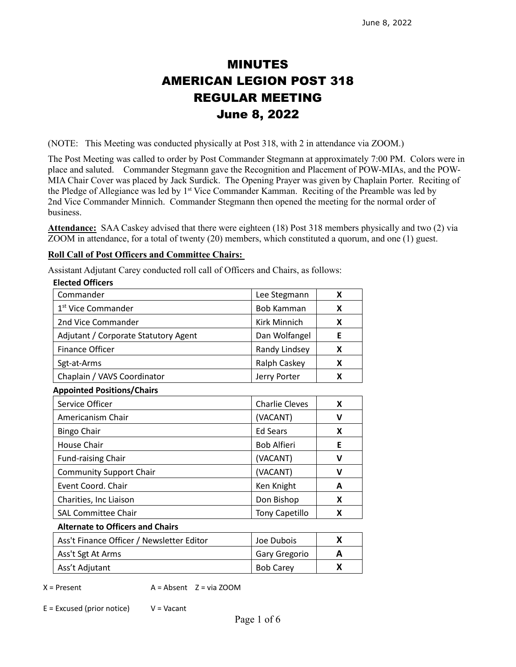# MINUTES AMERICAN LEGION POST 318 REGULAR MEETING June 8, 2022

(NOTE: This Meeting was conducted physically at Post 318, with 2 in attendance via ZOOM.)

The Post Meeting was called to order by Post Commander Stegmann at approximately 7:00 PM. Colors were in place and saluted. Commander Stegmann gave the Recognition and Placement of POW-MIAs, and the POW-MIA Chair Cover was placed by Jack Surdick. The Opening Prayer was given by Chaplain Porter. Reciting of the Pledge of Allegiance was led by 1<sup>st</sup> Vice Commander Kamman. Reciting of the Preamble was led by 2nd Vice Commander Minnich. Commander Stegmann then opened the meeting for the normal order of business.

**Attendance:** SAA Caskey advised that there were eighteen (18) Post 318 members physically and two (2) via ZOOM in attendance, for a total of twenty (20) members, which constituted a quorum, and one (1) guest.

#### **Roll Call of Post Officers and Committee Chairs:**

Assistant Adjutant Carey conducted roll call of Officers and Chairs, as follows:

| <b>Elected Officers</b>              |                       |   |
|--------------------------------------|-----------------------|---|
| Commander                            | Lee Stegmann          | X |
| 1 <sup>st</sup> Vice Commander       | Bob Kamman            | X |
| 2nd Vice Commander                   | Kirk Minnich          | X |
| Adjutant / Corporate Statutory Agent | Dan Wolfangel         | E |
| <b>Finance Officer</b>               | Randy Lindsey         | X |
| Sgt-at-Arms                          | Ralph Caskey          | X |
| Chaplain / VAVS Coordinator          | Jerry Porter          | X |
| <b>Appointed Positions/Chairs</b>    |                       |   |
| Service Officer                      | <b>Charlie Cleves</b> | X |
| Americanism Chair                    | (VACANT)              | v |
| <b>Bingo Chair</b>                   | <b>Ed Sears</b>       | X |
| <b>House Chair</b>                   | <b>Bob Alfieri</b>    | E |
| <b>Fund-raising Chair</b>            | (VACANT)              | v |
| <b>Community Support Chair</b>       | (VACANT)              | v |
| Event Coord. Chair                   | Ken Knight            | A |
| Charities, Inc Liaison               | Don Bishop            | X |
| <b>SAL Committee Chair</b>           | <b>Tony Capetillo</b> | X |
| Alternate to Officers and Chairs     |                       |   |

#### **Alternate to Officers and Chairs**

| Ass't Finance Officer / Newsletter Editor | Joe Dubois       |  |
|-------------------------------------------|------------------|--|
| Ass't Sgt At Arms                         | Gary Gregorio    |  |
| Ass't Adjutant                            | <b>Bob Carey</b> |  |

 $X =$  Present  $A =$  Absent  $Z =$  via ZOOM

 $E = Excused (prior notice)$   $V = Vacant$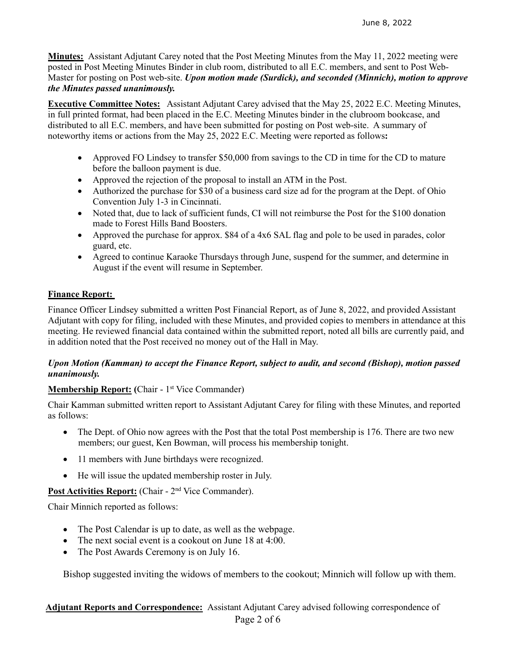**Minutes:** Assistant Adjutant Carey noted that the Post Meeting Minutes from the May 11, 2022 meeting were posted in Post Meeting Minutes Binder in club room, distributed to all E.C. members, and sent to Post Web-Master for posting on Post web-site. *Upon motion made (Surdick), and seconded (Minnich), motion to approve the Minutes passed unanimously.* 

**Executive Committee Notes:** Assistant Adjutant Carey advised that the May 25, 2022 E.C. Meeting Minutes, in full printed format, had been placed in the E.C. Meeting Minutes binder in the clubroom bookcase, and distributed to all E.C. members, and have been submitted for posting on Post web-site. A summary of noteworthy items or actions from the May 25, 2022 E.C. Meeting were reported as follows**:**

- Approved FO Lindsey to transfer \$50,000 from savings to the CD in time for the CD to mature before the balloon payment is due.
- Approved the rejection of the proposal to install an ATM in the Post.
- Authorized the purchase for \$30 of a business card size ad for the program at the Dept. of Ohio Convention July 1-3 in Cincinnati.
- Noted that, due to lack of sufficient funds, CI will not reimburse the Post for the \$100 donation made to Forest Hills Band Boosters.
- Approved the purchase for approx. \$84 of a 4x6 SAL flag and pole to be used in parades, color guard, etc.
- Agreed to continue Karaoke Thursdays through June, suspend for the summer, and determine in August if the event will resume in September.

# **Finance Report:**

Finance Officer Lindsey submitted a written Post Financial Report, as of June 8, 2022, and provided Assistant Adjutant with copy for filing, included with these Minutes, and provided copies to members in attendance at this meeting. He reviewed financial data contained within the submitted report, noted all bills are currently paid, and in addition noted that the Post received no money out of the Hall in May.

#### *Upon Motion (Kamman) to accept the Finance Report, subject to audit, and second (Bishop), motion passed unanimously.*

# **Membership Report: (Chair - 1<sup>st</sup> Vice Commander)**

Chair Kamman submitted written report to Assistant Adjutant Carey for filing with these Minutes, and reported as follows:

- The Dept. of Ohio now agrees with the Post that the total Post membership is 176. There are two new members; our guest, Ken Bowman, will process his membership tonight.
- 11 members with June birthdays were recognized.
- He will issue the updated membership roster in July.

# Post Activities Report: (Chair - 2<sup>nd</sup> Vice Commander).

Chair Minnich reported as follows:

- The Post Calendar is up to date, as well as the webpage.
- The next social event is a cookout on June 18 at 4:00.
- The Post Awards Ceremony is on July 16.

Bishop suggested inviting the widows of members to the cookout; Minnich will follow up with them.

#### Page 2 of 6  **Adjutant Reports and Correspondence:** Assistant Adjutant Carey advised following correspondence of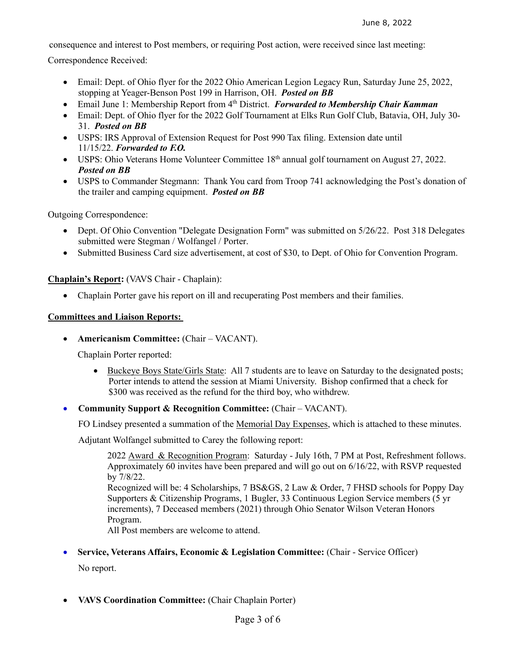consequence and interest to Post members, or requiring Post action, were received since last meeting:

Correspondence Received:

- Email: Dept. of Ohio flyer for the 2022 Ohio American Legion Legacy Run, Saturday June 25, 2022, stopping at Yeager-Benson Post 199 in Harrison, OH. *Posted on BB*
- Email June 1: Membership Report from 4th District. *Forwarded to Membership Chair Kamman*
- Email: Dept. of Ohio flyer for the 2022 Golf Tournament at Elks Run Golf Club, Batavia, OH, July 30- 31. *Posted on BB*
- USPS: IRS Approval of Extension Request for Post 990 Tax filing. Extension date until 11/15/22. *Forwarded to F.O.*
- USPS: Ohio Veterans Home Volunteer Committee 18<sup>th</sup> annual golf tournament on August 27, 2022. *Posted on BB*
- USPS to Commander Stegmann: Thank You card from Troop 741 acknowledging the Post's donation of the trailer and camping equipment. *Posted on BB*

Outgoing Correspondence:

- Dept. Of Ohio Convention "Delegate Designation Form" was submitted on 5/26/22. Post 318 Delegates submitted were Stegman / Wolfangel / Porter.
- Submitted Business Card size advertisement, at cost of \$30, to Dept. of Ohio for Convention Program.

**Chaplain's Report:** (VAVS Chair - Chaplain):

• Chaplain Porter gave his report on ill and recuperating Post members and their families.

#### **Committees and Liaison Reports:**

• **Americanism Committee:** (Chair – VACANT).

Chaplain Porter reported:

- Buckeye Boys State/Girls State: All 7 students are to leave on Saturday to the designated posts; Porter intends to attend the session at Miami University. Bishop confirmed that a check for \$300 was received as the refund for the third boy, who withdrew.
- **Community Support & Recognition Committee:** (Chair VACANT).

FO Lindsey presented a summation of the Memorial Day Expenses, which is attached to these minutes.

Adjutant Wolfangel submitted to Carey the following report:

2022 Award & Recognition Program: Saturday - July 16th, 7 PM at Post, Refreshment follows. Approximately 60 invites have been prepared and will go out on 6/16/22, with RSVP requested by 7/8/22.

Recognized will be: 4 Scholarships, 7 BS&GS, 2 Law & Order, 7 FHSD schools for Poppy Day Supporters & Citizenship Programs, 1 Bugler, 33 Continuous Legion Service members (5 yr increments), 7 Deceased members (2021) through Ohio Senator Wilson Veteran Honors Program.

All Post members are welcome to attend.

#### • **Service, Veterans Affairs, Economic & Legislation Committee:** (Chair - Service Officer)

No report.

• **VAVS Coordination Committee:** (Chair Chaplain Porter)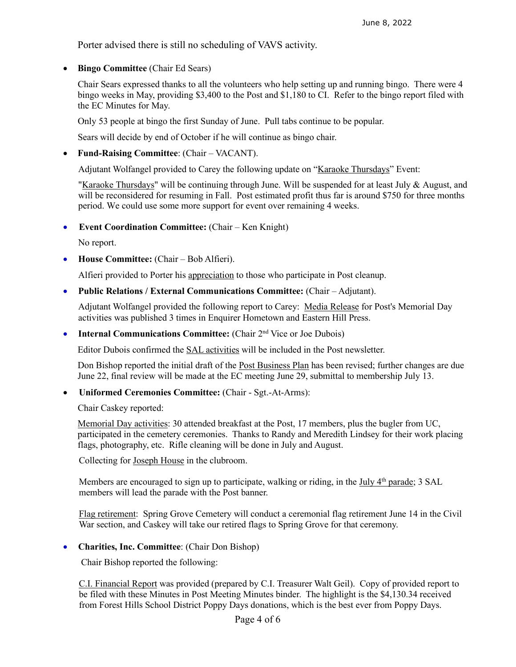Porter advised there is still no scheduling of VAVS activity.

• **Bingo Committee** (Chair Ed Sears)

Chair Sears expressed thanks to all the volunteers who help setting up and running bingo. There were 4 bingo weeks in May, providing \$3,400 to the Post and \$1,180 to CI. Refer to the bingo report filed with the EC Minutes for May.

Only 53 people at bingo the first Sunday of June. Pull tabs continue to be popular.

Sears will decide by end of October if he will continue as bingo chair.

• **Fund-Raising Committee**: (Chair – VACANT).

Adjutant Wolfangel provided to Carey the following update on "Karaoke Thursdays" Event:

"Karaoke Thursdays" will be continuing through June. Will be suspended for at least July  $\&$  August, and will be reconsidered for resuming in Fall. Post estimated profit thus far is around \$750 for three months period. We could use some more support for event over remaining 4 weeks.

• **Event Coordination Committee:** (Chair – Ken Knight)

No report.

• **House Committee:** (Chair – Bob Alfieri).

Alfieri provided to Porter his appreciation to those who participate in Post cleanup.

• **Public Relations / External Communications Committee:** (Chair – Adjutant).

Adjutant Wolfangel provided the following report to Carey: Media Release for Post's Memorial Day activities was published 3 times in Enquirer Hometown and Eastern Hill Press.

• **Internal Communications Committee:** (Chair 2<sup>nd</sup> Vice or Joe Dubois)

Editor Dubois confirmed the SAL activities will be included in the Post newsletter.

Don Bishop reported the initial draft of the <u>Post Business Plan</u> has been revised; further changes are due June 22, final review will be made at the EC meeting June 29, submittal to membership July 13.

• **Uniformed Ceremonies Committee:** (Chair - Sgt.-At-Arms):

Chair Caskey reported:

Memorial Day activities: 30 attended breakfast at the Post, 17 members, plus the bugler from UC, participated in the cemetery ceremonies. Thanks to Randy and Meredith Lindsey for their work placing flags, photography, etc. Rifle cleaning will be done in July and August.

Collecting for Joseph House in the clubroom.

Members are encouraged to sign up to participate, walking or riding, in the  $\text{July } 4^{\text{th}}$  parade; 3 SAL members will lead the parade with the Post banner.

Flag retirement: Spring Grove Cemetery will conduct a ceremonial flag retirement June 14 in the Civil War section, and Caskey will take our retired flags to Spring Grove for that ceremony.

• **Charities, Inc. Committee**: (Chair Don Bishop)

Chair Bishop reported the following:

C.I. Financial Report was provided (prepared by C.I. Treasurer Walt Geil). Copy of provided report to be filed with these Minutes in Post Meeting Minutes binder. The highlight is the \$4,130.34 received from Forest Hills School District Poppy Days donations, which is the best ever from Poppy Days.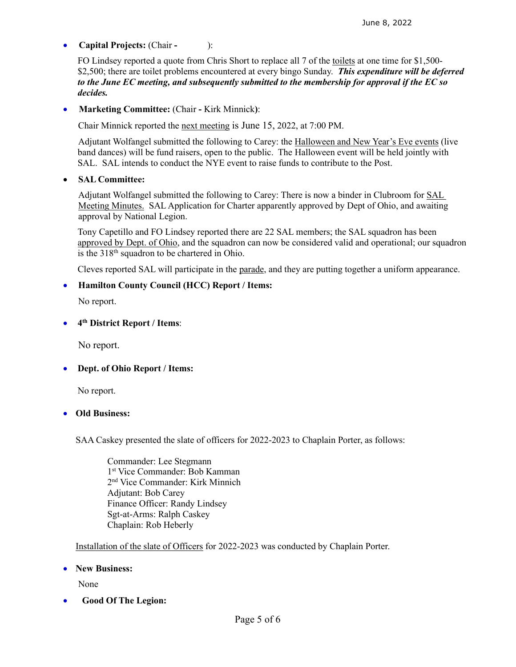# • **Capital Projects:** (Chair **-** ):

FO Lindsey reported a quote from Chris Short to replace all 7 of the toilets at one time for \$1,500- \$2,500; there are toilet problems encountered at every bingo Sunday. *This expenditure will be deferred to the June EC meeting, and subsequently submitted to the membership for approval if the EC so decides.*

• **Marketing Committee:** (Chair **-** Kirk Minnick**)**:

Chair Minnick reported the next meeting is June 15, 2022, at 7:00 PM.

 Adjutant Wolfangel submitted the following to Carey: the Halloween and New Year's Eve events (live band dances) will be fund raisers, open to the public. The Halloween event will be held jointly with SAL. SAL intends to conduct the NYE event to raise funds to contribute to the Post.

#### • **SAL Committee:**

Adjutant Wolfangel submitted the following to Carey: There is now a binder in Clubroom for SAL Meeting Minutes. SAL Application for Charter apparently approved by Dept of Ohio, and awaiting approval by National Legion.

Tony Capetillo and FO Lindsey reported there are 22 SAL members; the SAL squadron has been approved by Dept. of Ohio, and the squadron can now be considered valid and operational; our squadron is the 318<sup>th</sup> squadron to be chartered in Ohio.

Cleves reported SAL will participate in the parade, and they are putting together a uniform appearance.

#### • **Hamilton County Council (HCC) Report / Items:**

No report.

#### • **4th District Report / Items**:

No report.

# • **Dept. of Ohio Report / Items:**

No report.

#### • **Old Business:**

SAA Caskey presented the slate of officers for 2022-2023 to Chaplain Porter, as follows:

Commander: Lee Stegmann 1st Vice Commander: Bob Kamman 2nd Vice Commander: Kirk Minnich Adjutant: Bob Carey Finance Officer: Randy Lindsey Sgt-at-Arms: Ralph Caskey Chaplain: Rob Heberly

Installation of the slate of Officers for 2022-2023 was conducted by Chaplain Porter.

#### • **New Business:**

None

• **Good Of The Legion:**